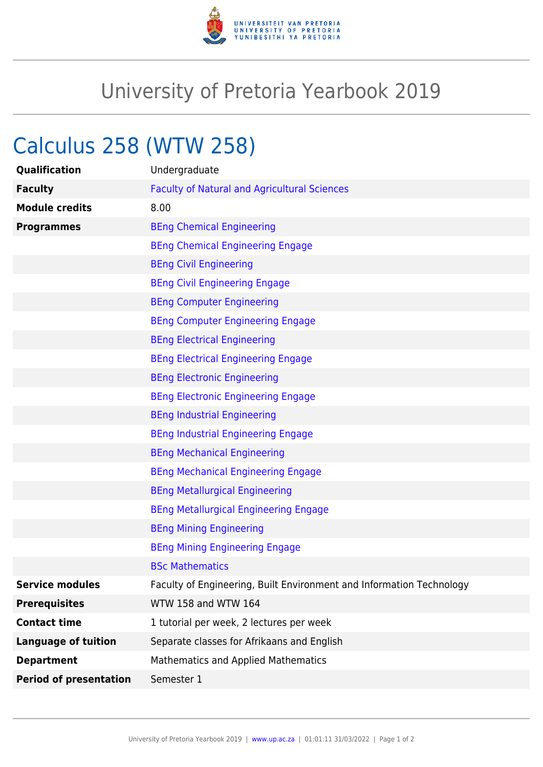

## University of Pretoria Yearbook 2019

## Calculus 258 (WTW 258)

| Qualification                 | Undergraduate                                                        |
|-------------------------------|----------------------------------------------------------------------|
| <b>Faculty</b>                | <b>Faculty of Natural and Agricultural Sciences</b>                  |
| <b>Module credits</b>         | 8.00                                                                 |
| <b>Programmes</b>             | <b>BEng Chemical Engineering</b>                                     |
|                               | <b>BEng Chemical Engineering Engage</b>                              |
|                               | <b>BEng Civil Engineering</b>                                        |
|                               | <b>BEng Civil Engineering Engage</b>                                 |
|                               | <b>BEng Computer Engineering</b>                                     |
|                               | <b>BEng Computer Engineering Engage</b>                              |
|                               | <b>BEng Electrical Engineering</b>                                   |
|                               | <b>BEng Electrical Engineering Engage</b>                            |
|                               | <b>BEng Electronic Engineering</b>                                   |
|                               | <b>BEng Electronic Engineering Engage</b>                            |
|                               | <b>BEng Industrial Engineering</b>                                   |
|                               | <b>BEng Industrial Engineering Engage</b>                            |
|                               | <b>BEng Mechanical Engineering</b>                                   |
|                               | <b>BEng Mechanical Engineering Engage</b>                            |
|                               | <b>BEng Metallurgical Engineering</b>                                |
|                               | <b>BEng Metallurgical Engineering Engage</b>                         |
|                               | <b>BEng Mining Engineering</b>                                       |
|                               | <b>BEng Mining Engineering Engage</b>                                |
|                               | <b>BSc Mathematics</b>                                               |
| <b>Service modules</b>        | Faculty of Engineering, Built Environment and Information Technology |
| <b>Prerequisites</b>          | WTW 158 and WTW 164                                                  |
| <b>Contact time</b>           | 1 tutorial per week, 2 lectures per week                             |
| <b>Language of tuition</b>    | Separate classes for Afrikaans and English                           |
| <b>Department</b>             | <b>Mathematics and Applied Mathematics</b>                           |
| <b>Period of presentation</b> | Semester 1                                                           |
|                               |                                                                      |